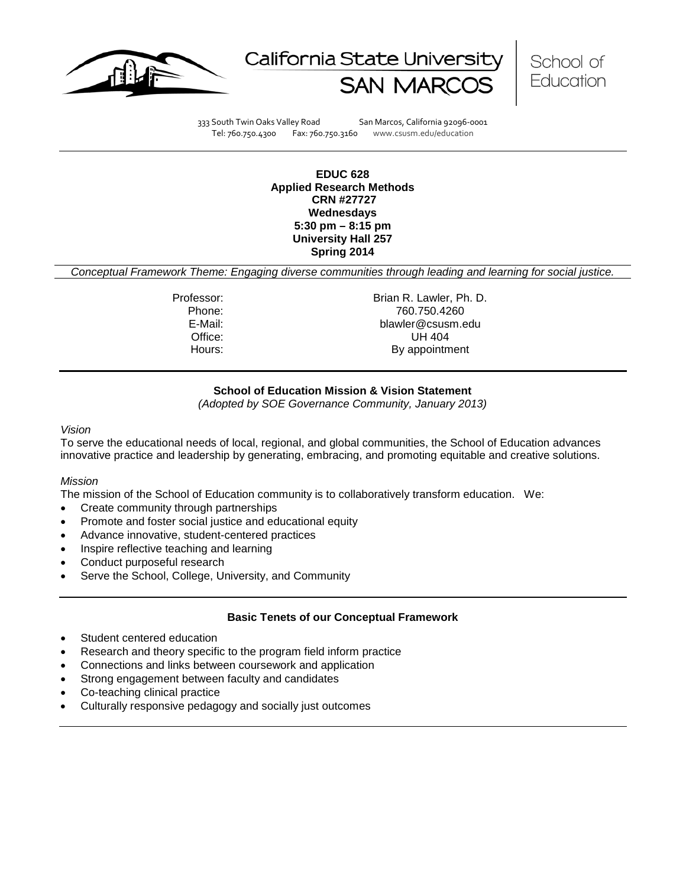





333 South Twin Oaks Valley Road San Marcos, California 92096-0001 Tel: 760.750.4300 Fax: 760.750.3160 www.csusm.edu/education

**EDUC 628 Applied Research Methods CRN #27727 Wednesdays 5:30 pm – 8:15 pm University Hall 257 Spring 2014** 

*Conceptual Framework Theme: Engaging diverse communities through leading and learning for social justice.*

Professor: Brian R. Lawler, Ph. D. Phone: 760.750.4260<br>E-Mail: 760.750.4260 E-Mail: blawler@csusm.edu Office: UH 404 Hours: By appointment

# **School of Education Mission & Vision Statement**

*(Adopted by SOE Governance Community, January 2013)*

#### *Vision*

To serve the educational needs of local, regional, and global communities, the School of Education advances innovative practice and leadership by generating, embracing, and promoting equitable and creative solutions.

#### *Mission*

The mission of the School of Education community is to collaboratively transform education. We:

- Create community through partnerships
- Promote and foster social justice and educational equity
- Advance innovative, student-centered practices
- Inspire reflective teaching and learning
- Conduct purposeful research
- Serve the School, College, University, and Community

#### **Basic Tenets of our Conceptual Framework**

- Student centered education
- Research and theory specific to the program field inform practice
- Connections and links between coursework and application
- Strong engagement between faculty and candidates
- Co-teaching clinical practice
- Culturally responsive pedagogy and socially just outcomes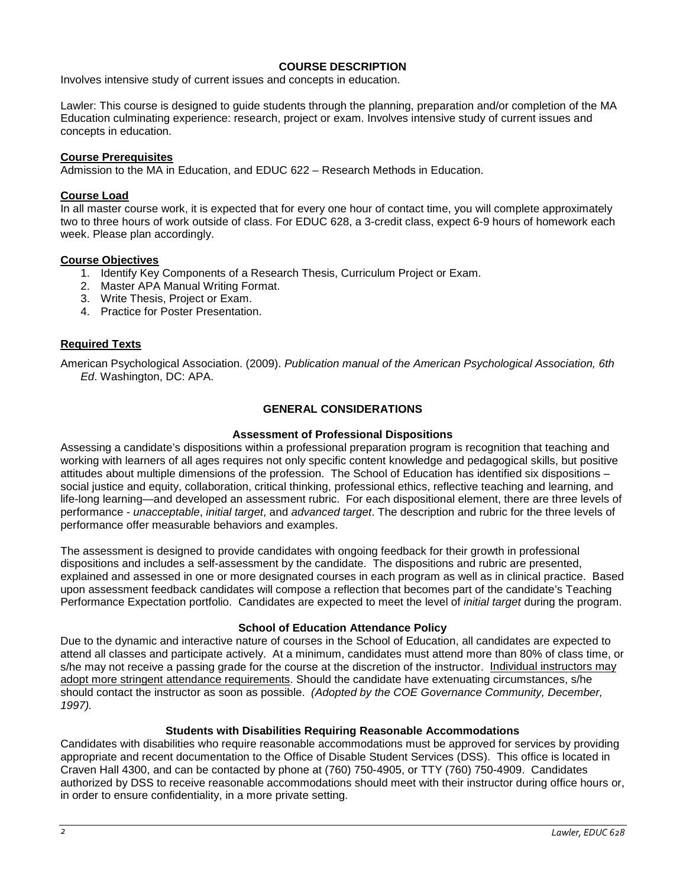## **COURSE DESCRIPTION**

Involves intensive study of current issues and concepts in education.

Lawler: This course is designed to guide students through the planning, preparation and/or completion of the MA Education culminating experience: research, project or exam. Involves intensive study of current issues and concepts in education.

## **Course Prerequisites**

Admission to the MA in Education, and EDUC 622 – Research Methods in Education.

## **Course Load**

In all master course work, it is expected that for every one hour of contact time, you will complete approximately two to three hours of work outside of class. For EDUC 628, a 3-credit class, expect 6-9 hours of homework each week. Please plan accordingly.

#### **Course Objectives**

- 1. Identify Key Components of a Research Thesis, Curriculum Project or Exam.
- 2. Master APA Manual Writing Format.
- 3. Write Thesis, Project or Exam.
- 4. Practice for Poster Presentation.

# **Required Texts**

American Psychological Association. (2009). *Publication manual of the American Psychological Association, 6th Ed*. Washington, DC: APA.

## **GENERAL CONSIDERATIONS**

## **Assessment of Professional Dispositions**

Assessing a candidate's dispositions within a professional preparation program is recognition that teaching and working with learners of all ages requires not only specific content knowledge and pedagogical skills, but positive attitudes about multiple dimensions of the profession. The School of Education has identified six dispositions – social justice and equity, collaboration, critical thinking, professional ethics, reflective teaching and learning, and life-long learning—and developed an assessment rubric. For each dispositional element, there are three levels of performance - *unacceptable*, *initial target*, and *advanced target*. The description and rubric for the three levels of performance offer measurable behaviors and examples.

The assessment is designed to provide candidates with ongoing feedback for their growth in professional dispositions and includes a self-assessment by the candidate. The dispositions and rubric are presented, explained and assessed in one or more designated courses in each program as well as in clinical practice. Based upon assessment feedback candidates will compose a reflection that becomes part of the candidate's Teaching Performance Expectation portfolio. Candidates are expected to meet the level of *initial target* during the program.

#### **School of Education Attendance Policy**

Due to the dynamic and interactive nature of courses in the School of Education, all candidates are expected to attend all classes and participate actively. At a minimum, candidates must attend more than 80% of class time, or s/he may not receive a passing grade for the course at the discretion of the instructor. Individual instructors may adopt more stringent attendance requirements. Should the candidate have extenuating circumstances, s/he should contact the instructor as soon as possible. *(Adopted by the COE Governance Community, December, 1997).*

#### **Students with Disabilities Requiring Reasonable Accommodations**

Candidates with disabilities who require reasonable accommodations must be approved for services by providing appropriate and recent documentation to the Office of Disable Student Services (DSS). This office is located in Craven Hall 4300, and can be contacted by phone at (760) 750-4905, or TTY (760) 750-4909. Candidates authorized by DSS to receive reasonable accommodations should meet with their instructor during office hours or, in order to ensure confidentiality, in a more private setting.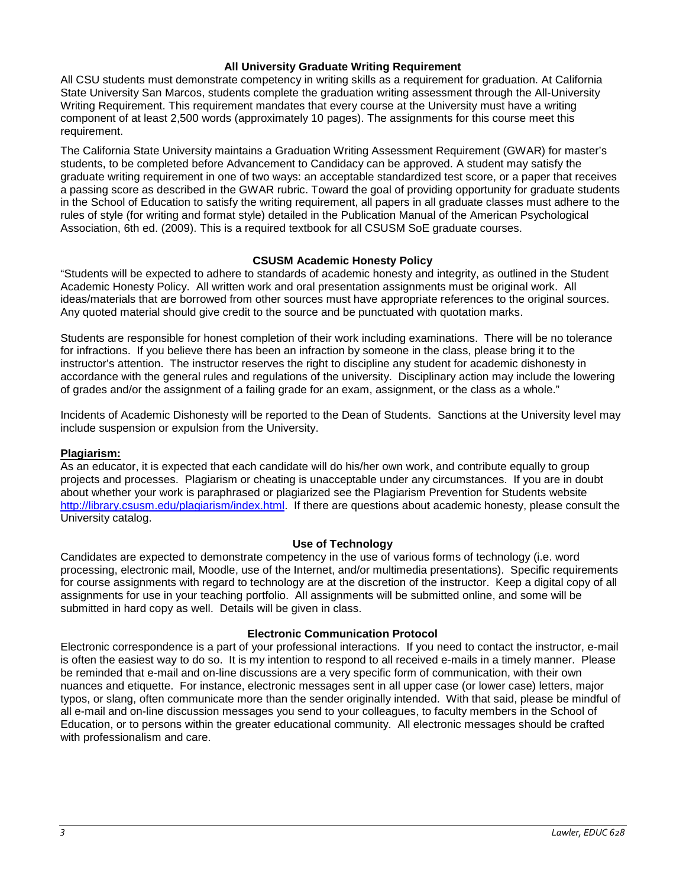#### **All University Graduate Writing Requirement**

All CSU students must demonstrate competency in writing skills as a requirement for graduation. At California State University San Marcos, students complete the graduation writing assessment through the All-University Writing Requirement. This requirement mandates that every course at the University must have a writing component of at least 2,500 words (approximately 10 pages). The assignments for this course meet this requirement.

The California State University maintains a Graduation Writing Assessment Requirement (GWAR) for master's students, to be completed before Advancement to Candidacy can be approved. A student may satisfy the graduate writing requirement in one of two ways: an acceptable standardized test score, or a paper that receives a passing score as described in the GWAR rubric. Toward the goal of providing opportunity for graduate students in the School of Education to satisfy the writing requirement, all papers in all graduate classes must adhere to the rules of style (for writing and format style) detailed in the Publication Manual of the American Psychological Association, 6th ed. (2009). This is a required textbook for all CSUSM SoE graduate courses.

#### **CSUSM Academic Honesty Policy**

"Students will be expected to adhere to standards of academic honesty and integrity, as outlined in the Student Academic Honesty Policy. All written work and oral presentation assignments must be original work. All ideas/materials that are borrowed from other sources must have appropriate references to the original sources. Any quoted material should give credit to the source and be punctuated with quotation marks.

Students are responsible for honest completion of their work including examinations. There will be no tolerance for infractions. If you believe there has been an infraction by someone in the class, please bring it to the instructor's attention. The instructor reserves the right to discipline any student for academic dishonesty in accordance with the general rules and regulations of the university. Disciplinary action may include the lowering of grades and/or the assignment of a failing grade for an exam, assignment, or the class as a whole."

Incidents of Academic Dishonesty will be reported to the Dean of Students. Sanctions at the University level may include suspension or expulsion from the University.

#### **Plagiarism:**

As an educator, it is expected that each candidate will do his/her own work, and contribute equally to group projects and processes. Plagiarism or cheating is unacceptable under any circumstances. If you are in doubt about whether your work is paraphrased or plagiarized see the Plagiarism Prevention for Students website [http://library.csusm.edu/plagiarism/index.html.](http://library.csusm.edu/plagiarism/index.html) If there are questions about academic honesty, please consult the University catalog.

#### **Use of Technology**

Candidates are expected to demonstrate competency in the use of various forms of technology (i.e. word processing, electronic mail, Moodle, use of the Internet, and/or multimedia presentations). Specific requirements for course assignments with regard to technology are at the discretion of the instructor. Keep a digital copy of all assignments for use in your teaching portfolio. All assignments will be submitted online, and some will be submitted in hard copy as well. Details will be given in class.

#### **Electronic Communication Protocol**

Electronic correspondence is a part of your professional interactions. If you need to contact the instructor, e-mail is often the easiest way to do so. It is my intention to respond to all received e-mails in a timely manner. Please be reminded that e-mail and on-line discussions are a very specific form of communication, with their own nuances and etiquette. For instance, electronic messages sent in all upper case (or lower case) letters, major typos, or slang, often communicate more than the sender originally intended. With that said, please be mindful of all e-mail and on-line discussion messages you send to your colleagues, to faculty members in the School of Education, or to persons within the greater educational community. All electronic messages should be crafted with professionalism and care.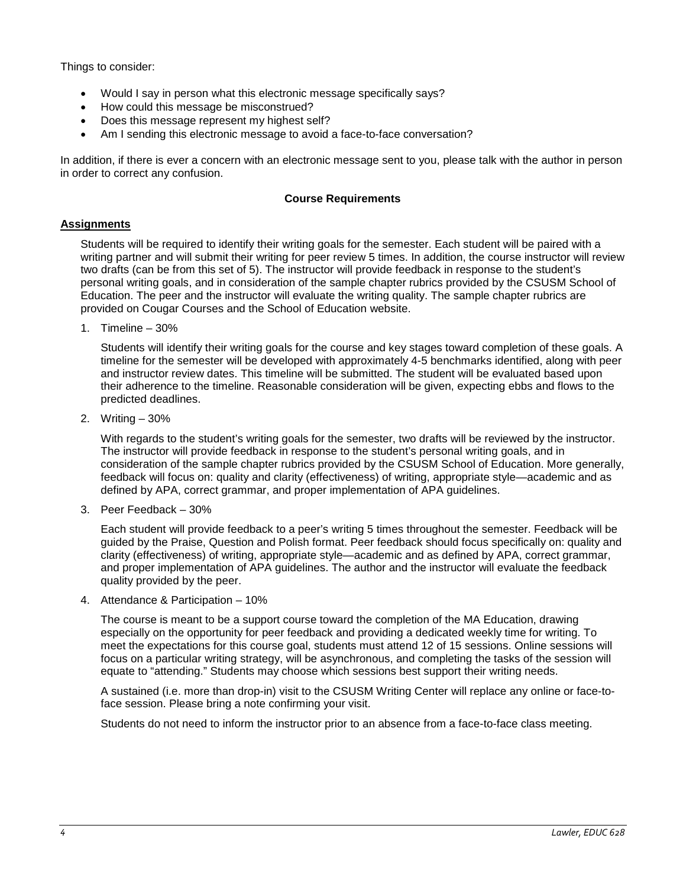Things to consider:

- Would I say in person what this electronic message specifically says?
- How could this message be misconstrued?
- Does this message represent my highest self?
- Am I sending this electronic message to avoid a face-to-face conversation?

In addition, if there is ever a concern with an electronic message sent to you, please talk with the author in person in order to correct any confusion.

## **Course Requirements**

## **Assignments**

Students will be required to identify their writing goals for the semester. Each student will be paired with a writing partner and will submit their writing for peer review 5 times. In addition, the course instructor will review two drafts (can be from this set of 5). The instructor will provide feedback in response to the student's personal writing goals, and in consideration of the sample chapter rubrics provided by the CSUSM School of Education. The peer and the instructor will evaluate the writing quality. The sample chapter rubrics are provided on Cougar Courses and the School of Education website.

1. Timeline – 30%

Students will identify their writing goals for the course and key stages toward completion of these goals. A timeline for the semester will be developed with approximately 4-5 benchmarks identified, along with peer and instructor review dates. This timeline will be submitted. The student will be evaluated based upon their adherence to the timeline. Reasonable consideration will be given, expecting ebbs and flows to the predicted deadlines.

2. Writing – 30%

With regards to the student's writing goals for the semester, two drafts will be reviewed by the instructor. The instructor will provide feedback in response to the student's personal writing goals, and in consideration of the sample chapter rubrics provided by the CSUSM School of Education. More generally, feedback will focus on: quality and clarity (effectiveness) of writing, appropriate style—academic and as defined by APA, correct grammar, and proper implementation of APA guidelines.

3. Peer Feedback – 30%

Each student will provide feedback to a peer's writing 5 times throughout the semester. Feedback will be guided by the Praise, Question and Polish format. Peer feedback should focus specifically on: quality and clarity (effectiveness) of writing, appropriate style—academic and as defined by APA, correct grammar, and proper implementation of APA guidelines. The author and the instructor will evaluate the feedback quality provided by the peer.

4. Attendance & Participation – 10%

The course is meant to be a support course toward the completion of the MA Education, drawing especially on the opportunity for peer feedback and providing a dedicated weekly time for writing. To meet the expectations for this course goal, students must attend 12 of 15 sessions. Online sessions will focus on a particular writing strategy, will be asynchronous, and completing the tasks of the session will equate to "attending." Students may choose which sessions best support their writing needs.

A sustained (i.e. more than drop-in) visit to the CSUSM Writing Center will replace any online or face-toface session. Please bring a note confirming your visit.

Students do not need to inform the instructor prior to an absence from a face-to-face class meeting.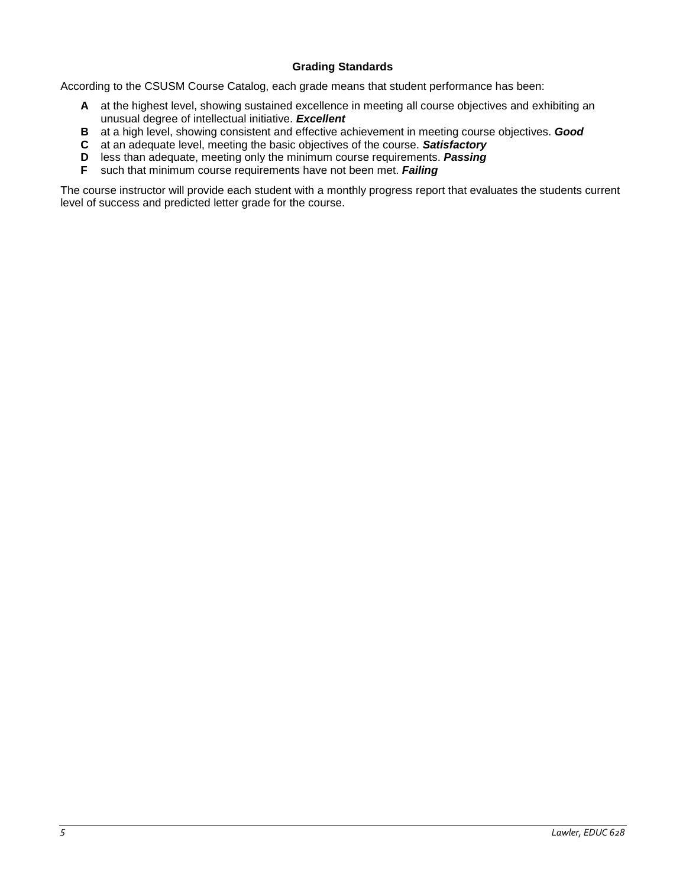# **Grading Standards**

According to the CSUSM Course Catalog, each grade means that student performance has been:

- **A** at the highest level, showing sustained excellence in meeting all course objectives and exhibiting an unusual degree of intellectual initiative. *Excellent*
- **B** at a high level, showing consistent and effective achievement in meeting course objectives. *Good*
- **C** at an adequate level, meeting the basic objectives of the course. *Satisfactory*
- **D** less than adequate, meeting only the minimum course requirements. *Passing*
- **F** such that minimum course requirements have not been met. *Failing*

The course instructor will provide each student with a monthly progress report that evaluates the students current level of success and predicted letter grade for the course.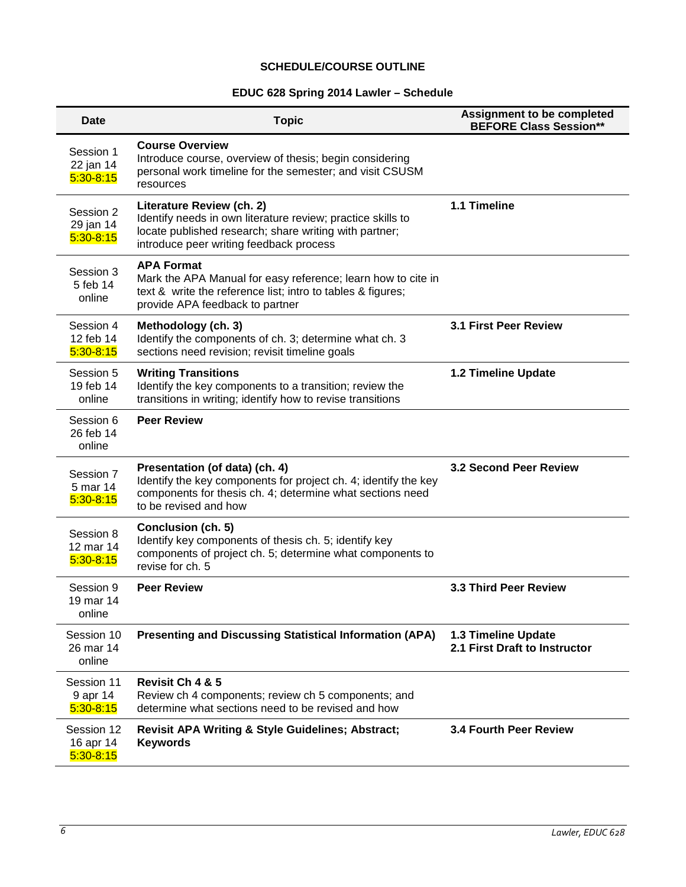# **SCHEDULE/COURSE OUTLINE**

# **EDUC 628 Spring 2014 Lawler – Schedule**

| Date                                     | <b>Topic</b>                                                                                                                                                                                  | <b>Assignment to be completed</b><br><b>BEFORE Class Session**</b> |
|------------------------------------------|-----------------------------------------------------------------------------------------------------------------------------------------------------------------------------------------------|--------------------------------------------------------------------|
| Session 1<br>22 jan 14<br>$5:30 - 8:15$  | <b>Course Overview</b><br>Introduce course, overview of thesis; begin considering<br>personal work timeline for the semester; and visit CSUSM<br>resources                                    |                                                                    |
| Session 2<br>29 jan 14<br>$5:30 - 8:15$  | Literature Review (ch. 2)<br>Identify needs in own literature review; practice skills to<br>locate published research; share writing with partner;<br>introduce peer writing feedback process | 1.1 Timeline                                                       |
| Session 3<br>5 feb 14<br>online          | <b>APA Format</b><br>Mark the APA Manual for easy reference; learn how to cite in<br>text & write the reference list; intro to tables & figures;<br>provide APA feedback to partner           |                                                                    |
| Session 4<br>12 feb 14<br>$5:30-8:15$    | Methodology (ch. 3)<br>Identify the components of ch. 3; determine what ch. 3<br>sections need revision; revisit timeline goals                                                               | <b>3.1 First Peer Review</b>                                       |
| Session 5<br>19 feb 14<br>online         | <b>Writing Transitions</b><br>Identify the key components to a transition; review the<br>transitions in writing; identify how to revise transitions                                           | 1.2 Timeline Update                                                |
| Session 6<br>26 feb 14<br>online         | <b>Peer Review</b>                                                                                                                                                                            |                                                                    |
| Session 7<br>5 mar 14<br>$5:30-8:15$     | Presentation (of data) (ch. 4)<br>Identify the key components for project ch. 4; identify the key<br>components for thesis ch. 4; determine what sections need<br>to be revised and how       | 3.2 Second Peer Review                                             |
| Session 8<br>12 mar 14<br>$5:30 - 8:15$  | Conclusion (ch. 5)<br>Identify key components of thesis ch. 5; identify key<br>components of project ch. 5; determine what components to<br>revise for ch. 5                                  |                                                                    |
| Session 9<br>19 mar 14<br>online         | <b>Peer Review</b>                                                                                                                                                                            | <b>3.3 Third Peer Review</b>                                       |
| Session 10<br>26 mar 14<br>online        | <b>Presenting and Discussing Statistical Information (APA)</b>                                                                                                                                | 1.3 Timeline Update<br>2.1 First Draft to Instructor               |
| Session 11<br>9 apr 14<br>$5:30-8:15$    | Revisit Ch 4 & 5<br>Review ch 4 components; review ch 5 components; and<br>determine what sections need to be revised and how                                                                 |                                                                    |
| Session 12<br>16 apr 14<br>$5:30 - 8:15$ | <b>Revisit APA Writing &amp; Style Guidelines; Abstract;</b><br><b>Keywords</b>                                                                                                               | <b>3.4 Fourth Peer Review</b>                                      |